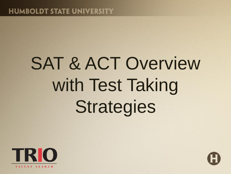# SAT & ACT Overview with Test Taking Strategies



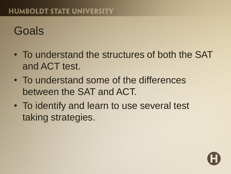#### Goals

- To understand the structures of both the SAT and ACT test.
- To understand some of the differences between the SAT and ACT.
- To identify and learn to use several test taking strategies.

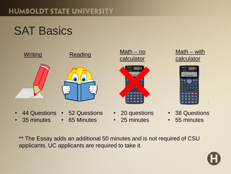### **SAT Basics**



- 44 Questions 52 Questions
- 35 minutes
- 65 Minutes
- calculator
- 20 questions
- 25 minutes





- 38 Questions
- 55 minutes
- \*\* The Essay adds an additional 50 minutes and is not required of CSU applicants. UC applicants are required to take it.

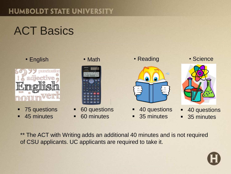## ACT Basics



- 75 questions
- **45 minutes**





- 60 questions
- 60 minutes



- 40 questions
- 35 minutes





- **40 questions**
- 35 minutes

\*\* The ACT with Writing adds an additional 40 minutes and is not required of CSU applicants. UC applicants are required to take it.

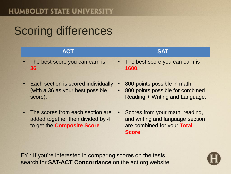### Scoring differences

| <b>ACT</b>                              | <b>SAT</b>                               |
|-----------------------------------------|------------------------------------------|
| • The best score you can earn is<br>36. | • The best score you can earn is<br>1600 |

- Each section is scored individually (with a 36 as your best possible score).
- The scores from each section are added together then divided by 4 to get the **Composite Score**.
- 800 points possible in math.
- 800 points possible for combined Reading + Writing and Language.
- Scores from your math, reading, and writing and language section are combined for your **Total Score**.

FYI: If you're interested in comparing scores on the tests, search for **SAT-ACT Concordance** on the act.org website.

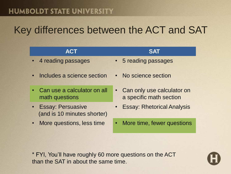#### Key differences between the ACT and SAT

| <b>ACT</b>                                                 | <b>SAT</b>                                                         |
|------------------------------------------------------------|--------------------------------------------------------------------|
| 4 reading passages<br>$\bullet$                            | • 5 reading passages                                               |
| Includes a science section<br>$\bullet$                    | • No science section                                               |
| Can use a calculator on all<br>$\bullet$<br>math questions | Can only use calculator on<br>$\bullet$<br>a specific math section |
| • Essay: Persuasive<br>(and is 10 minutes shorter)         | <b>Essay: Rhetorical Analysis</b><br>$\bullet$                     |
| More questions, less time<br>$\bullet$                     | More time, fewer questions<br>$\bullet$                            |
|                                                            |                                                                    |

\* FYI, You'll have roughly 60 more questions on the ACT than the SAT in about the same time.

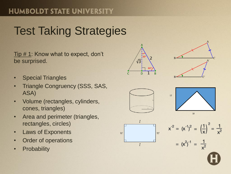### Test Taking Strategies

Tip # 1: Know what to expect, don't be surprised.

- Special Triangles
- Triangle Congruency (SSS, SAS, ASA)
- Volume (rectangles, cylinders, cones, triangles)
- Area and perimeter (triangles, rectangles, circles)
- Laws of Exponents
- Order of operations
- Probability











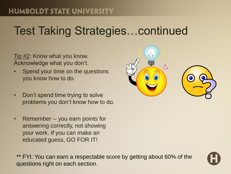### Test Taking Strategies…continued

Tip #2: Know what you know. Acknowledge what you don't.

- Spend your time on the questions you know how to do.
- Don't spend time trying to solve problems you don't know how to do.
- Remember -- you earn points for answering correctly, not showing your work. If you can make an educated guess, GO FOR IT!



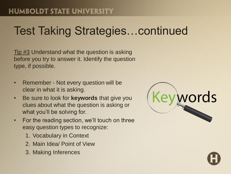### Test Taking Strategies…continued

Tip #3 Understand what the question is asking before you try to answer it. Identify the question type, if possible.

- Remember Not every question will be clear in what it is asking.
- Be sure to look for **keywords** that give you clues about what the question is asking or what you'll be solving for.
- For the reading section, we'll touch on three easy question types to recognize:
	- 1. Vocabulary in Context
	- 2. Main Idea/ Point of View
	- 3. Making Inferences

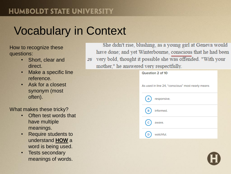### Vocabulary in Context

How to recognize these questions:

- Short, clear and direct.
- Make a specific line reference.
- Ask for a closest synonym (most often).

What makes these tricky?

- Often test words that have multiple meanings.
- Require students to understand **HOW** a word is being used.
- Tests secondary meanings of words.

She didn't rise, blushing, as a young girl at Geneva would have done; and yet Winterbourne, conscious that he had been very bold, thought it possible she was offended. "With your 25 mother," he answered very respectfully.

| Question 2 of 10                                  |  |  |
|---------------------------------------------------|--|--|
| As used in line 24, "conscious" most nearly means |  |  |
| responsive.                                       |  |  |
| informed.<br>в                                    |  |  |
| aware.                                            |  |  |
| watchful.                                         |  |  |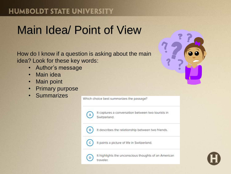#### Main Idea/ Point of View

How do I know if a question is asking about the main idea? Look for these key words:

- Author's message
- Main idea
- Main point
- Primary purpose
- Summarizes

Which choice best summarizes the passage?



B

It captures a conversation between two tourists in Switzerland.

It describes the relationship between two friends.

It paints a picture of life in Switzerland.

D

It highlights the unconscious thoughts of an American traveler.



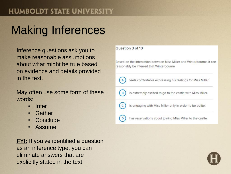### Making Inferences

Inference questions ask you to make reasonable assumptions about what might be true based on evidence and details provided in the text.

May often use some form of these words:

- Infer
- Gather
- Conclude
- Assume

**FYI:** If you've identified a question as an inference type, you can eliminate answers that are explicitly stated in the text.

Question 3 of 10

Based on the interaction between Miss Miller and Winterbourne, it can reasonably be inferred that Winterbourne

| A  | feels comfortable expressing his feelings for Miss Miller. |
|----|------------------------------------------------------------|
| (в | is extremely excited to go to the castle with Miss Miller. |
|    | is engaging with Miss Miller only in order to be polite.   |
|    | has reservations about joining Miss Miller to the castle.  |

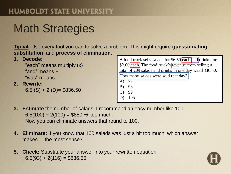### Math Strategies

**Tip #4**: Use every tool you can to solve a problem. This might require **guesstimating**, **substitution**, and **process of elimination**.

|    | Decode:                                                           | A food truck sells salads for \$6.50 each and drinks for                             |
|----|-------------------------------------------------------------------|--------------------------------------------------------------------------------------|
|    | "each" means multiply (x)                                         | \$2.00 each. The food truck's revenue from selling a                                 |
|    | "and" means +                                                     | total of 209 salads and drinks in one day was \$836.50.                              |
| 2. | "was" means $=$<br><b>Rewrite:</b><br>$6.5$ (S) + 2 (D)= \$836.50 | How many salads were sold that day?<br>A) 77<br>B) 93<br>- 99<br>$\mathbf{C}$<br>105 |

**3. Estimate** the number of salads. I recommend an easy number like 100.  $6.5(100) + 2(100) = $850 \rightarrow$  too much. Now you can eliminate answers that round to 100.

- **4. Eliminate:** If you know that 100 salads was just a bit too much, which answer makes the most sense?
- **5. Check:** Substitute your answer into your rewritten equation  $6.5(93) + 2(116) = $836.50$

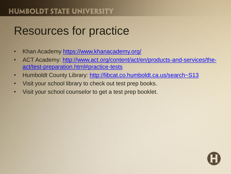### Resources for practice

- Khan Academy<https://www.khanacademy.org/>
- [ACT Academy: http://www.act.org/content/act/en/products-and-services/the](http://www.act.org/content/act/en/products-and-services/the-act/test-preparation.html#practice-tests)act/test-preparation.html#practice-tests
- Humboldt County Library:<http://libcat.co.humboldt.ca.us/search~S13>
- Visit your school library to check out test prep books.
- Visit your school counselor to get a test prep booklet.